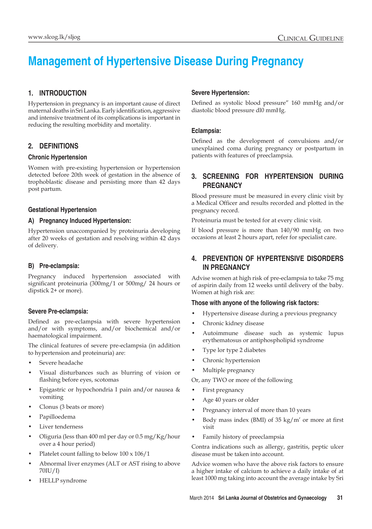# **Management of Hypertensive Disease During Pregnancy**

# **1. Introduction**

Hypertension in pregnancy is an important cause of direct maternal deaths in Sri Lanka. Early identification, aggressive and intensive treatment of its complications is important in reducing the resulting morbidity and mortality.

# **2. Definitions**

## **Chronic Hypertension**

Women with pre-existing hypertension or hypertension detected before 20th week of gestation in the absence of trophoblastic disease and persisting more than 42 days post partum.

## **Gestational Hypertension**

## **A) Pregnancy Induced Hypertension:**

Hypertension unaccompanied by proteinuria developing after 20 weeks of gestation and resolving within 42 days of delivery.

## **B) Pre-eclampsia:**

Pregnancy induced hypertension associated with significant proteinuria (300mg/1 or 500mg/ 24 hours or dipstick 2+ or more).

## **Severe Pre-eclampsia:**

Defined as pre-eclampsia with severe hypertension and/or with symptoms, and/or biochemical and/or haematological impairment.

The clinical features of severe pre-eclampsia (in addition to hypertension and proteinuria) are:

- Severe headache
- Visual disturbances such as blurring of vision or flashing before eyes, scotomas
- Epigastric or hypochondria I pain and/or nausea & vomiting
- Clonus (3 beats or more)
- Papilloedema
- Liver tenderness
- Oliguria (less than 400 ml per day or 0.5 mg/Kg/hour over a 4 hour period)
- Platelet count falling to below 100 x 106/1
- Abnormal liver enzymes (ALT or AST rising to above 70IU/I)
- HELLP syndrome

## **Severe Hypertension:**

Defined as systolic blood pressure" 160 mmHg and/or diastolic blood pressure dl0 mmHg.

# **Eclampsia:**

Defined as the development of convulsions and/or unexplained coma during pregnancy or postpartum in patients with features of preeclampsia.

# **3. Screening for Hypertension during pregnancy**

Blood pressure must be measured in every clinic visit by a Medical Officer and results recorded and plotted in the pregnancy record.

Proteinuria must be tested for at every clinic visit.

If blood pressure is more than 140/90 mmHg on two occasions at least 2 hours apart, refer for specialist care.

# **4. Prevention of hypertensive disorders in pregnancy**

Advise women at high risk of pre-eclampsia to take 75 mg of aspirin daily from 12 weeks until delivery of the baby. Women at high risk are:

## **Those with anyone of the following risk factors:**

- Hypertensive disease during a previous pregnancy
- Chronic kidney disease
- Autoimmune disease such as systemic lupus erythematosus or antiphospholipid syndrome
- Type lor type 2 diabetes
- Chronic hypertension
- Multiple pregnancy

Or, any TWO or more of the following

- First pregnancy
- Age 40 years or older
- Pregnancy interval of more than 10 years
- Body mass index (BMI) of 35 kg/m' or more at first visit
- Family history of preeclampsia

Contra indications such as allergy, gastritis, peptic ulcer disease must be taken into account.

Advice women who have the above risk factors to ensure a higher intake of calcium to achieve a daily intake of at least 1000 mg taking into account the average intake by Sri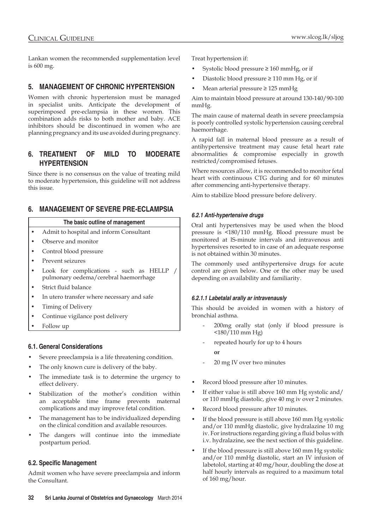Lankan women the recommended supplementation level is 600 mg.

# **5. Management of Chronic Hypertension**

Women with chronic hypertension must be managed in specialist units. Anticipate the development of superimposed pre-eclampsia in these women. This combination adds risks to both mother and baby. ACE inhibitors should be discontinued in women who are planning pregnancy and its use avoided during pregnancy.

# **6. Treatment of mild to moderate hypertension**

Since there is no consensus on the value of treating mild to moderate hypertension, this guideline will not address this issue.

# **6. MANAGEMENT OF SEVERE PRE-ECLAMPSIA**

#### **The basic outline of management**

- Admit to hospital and inform Consultant
- Observe and monitor
- Control blood pressure
- Prevent seizures
- Look for complications such as HELLP / pulmonary oedema/cerebral haemorrhage
- Strict fluid balance
- In utero transfer where necessary and safe
- Timing of Delivery
- Continue vigilance post delivery
- Follow up

## **6.1. General Considerations**

- Severe preeclampsia is a life threatening condition.
- The only known cure is delivery of the baby.
- The immediate task is to determine the urgency to effect delivery.
- Stabilization of the mother's condition within an acceptable time frame prevents maternal complications and may improve fetal condition.
- The management has to be individualized depending on the clinical condition and available resources.
- The dangers will continue into the immediate postpartum period.

## **6.2. Specific Management**

Admit women who have severe preeclampsia and inform the Consultant.

Treat hypertension if:

- Systolic blood pressure  $\geq 160$  mmHg, or if
- Diastolic blood pressure ≥ 110 mm Hg, or if
- Mean arterial pressure ≥ 125 mmHg

Aim to maintain blood pressure at around 130-140/90-100 mmHg.

The main cause of maternal death in severe preeclampsia is poorly controlled systolic hypertension causing cerebral haemorrhage.

A rapid fall in maternal blood pressure as a result of antihypertensive treatment may cause fetal heart rate abnormalities & compromise especially in growth restricted/compromised fetuses.

Where resources allow, it is recommended to monitor fetal heart with continuous CTG during and for 60 minutes after commencing anti-hypertensive therapy.

Aim to stabilize blood pressure before delivery.

## *6.2.1 Anti-hypertensive drugs*

Oral anti hypertensives may be used when the blood pressure is <180/110 mmHg. Blood pressure must be monitored at lS-minute intervals and intravenous anti hypertensives resorted to in case of an adequate response is not obtained within 30 minutes.

The commonly used antihypertensive drugs for acute control are given below. One or the other may be used depending on availability and familiarity.

## *6.2.1.1 Labetalal arally ar intravenausly*

This should be avoided in women with a history of bronchial asthma.

- 200mg orally stat (only if blood pressure is <180/110 mm Hg)
- repeated hourly for up to 4 hours

**or**

- 20 mg IV over two minutes
- Record blood pressure after 10 minutes.
- If either value is still above 160 mm Hg systolic and/ or 110 mmHg diastolic, give 40 mg iv over 2 minutes.
- Record blood pressure after 10 minutes.
- If the blood pressure is still above 160 mm Hg systolic and/or 110 mmHg diastolic, give hydralazine 10 mg iv. For instructions regarding giving a fluid bolus with i.v. hydralazine, see the next section of this guideline.
- If the blood pressure is still above 160 mm Hg systolic and/or 110 mmHg diastolic, start an IV infusion of labetolol, starting at 40 mg/hour, doubling the dose at half hourly intervals as required to a maximum total of 160 mg/hour.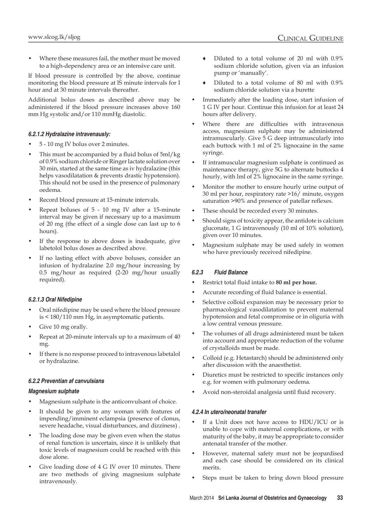Where these measures fail, the mother must be moved to a high-dependency area or an intensive care unit.

If blood pressure is controlled by the above, continue monitoring the blood pressure at lS minute intervals for I hour and at 30 minute intervals thereafter.

Additional bolus doses as described above may be administered if the blood pressure increases above 160 mm Hg systolic and/or 110 mmHg diastolic.

#### *6.2.1.2 Hydralazine intravenausly:*

- 5 10 mg IV bolus over 2 minutes.
- This must be accompanied by a fluid bolus of  $5ml/kg$ of 0.9% sodium chloride or Ringer lactate solution over 30 min, started at the same time as iv hydralazine (this helps vasodilatation & prevents drastic hypotension). This should not be used in the presence of pulmonary oedema.
- Record blood pressure at 15-minute intervals.
- Repeat boluses of  $5 10$  mg IV after a 15-minute interval may be given if necessary up to a maximum of 20 mg (the effect of a single dose can last up to 6 hours).
- If the response to above doses is inadequate, give labetolol bolus doses as described above.
- If no lasting effect with above boluses, consider an infusion of hydralazine 2.0 mg/hour increasing by 0.5 mg/hour as required (2-20 mg/hour usually required).

#### *6.2.1.3 Oral Nifedipine*

- Oral nifedipine may be used where the blood pressure is < 180/110 mm Hg, in asymptomatic patients.
- Give 10 mg orally.
- Repeat at 20-minute intervals up to a maximum of 40 mg.
- If there is no response proceed to intravenous labetalol or hydralazine.

#### *6.2.2 Preventian af canvulsians*

#### *Magnesium sulphate*

- Magnesium sulphate is the anticonvulsant of choice.
- It should be given to any woman with features of impending/imminent eclampsia (presence of clonus, severe headache, visual disturbances, and dizziness) .
- The loading dose may be given even when the status of renal function is uncertain, since it is unlikely that toxic levels of magnesium could be reached with this dose alone.
- Give loading dose of 4 G IV over 10 minutes. There are two methods of giving magnesium sulphate intravenously.
- Diluted to a total volume of 20 ml with 0.9% sodium chloride solution, given via an infusion pump or 'manually'.
- ♦ Diluted to a total volume of 80 ml with 0.9% sodium chloride solution via a burette
- Immediately after the loading dose, start infusion of 1 G IV per hour. Continue this infusion for at least 24 hours after delivery.
- Where there are difficulties with intravenous access, magnesium sulphate may be administered intramuscularly. Give 5 G deep intramuscularly into each buttock with 1 ml of 2% lignocaine in the same syringe.
- If intramuscular magnesium sulphate is continued as maintenance therapy, give 5G to alternate buttocks 4 hourly, with lml of 2% lignocaine in the same syringe.
- Monitor the mother to ensure hourly urine output of 30 ml per hour, respiratory rate >16/ minute, oxygen saturation >90% and presence of patellar reflexes.
- These should be recorded every 30 minutes.
- Should signs of toxicity appear, the antidote is calcium gluconate, 1 G intravenously (10 ml of 10% solution), given over 10 minutes.
- Magnesium sulphate may be used safely in women who have previously received nifedipine.

#### *6.2.3 Fluid Balance*

- Restrict total fluid intake to **80 ml per hour.**
- Accurate recording of fluid balance is essential.
- Selective colloid expansion may be necessary prior to pharmacological vasodilatation to prevent maternal hypotension and fetal compromise or in oliguria with a low central venous pressure.
- The volumes of all drugs administered must be taken into account and appropriate reduction of the volume of crystalloids must be made.
- Colloid (e.g. Hetastarch) should be administered only after discussion with the anaesthetist.
- Diuretics must be restricted to specific instances only e.g. for women with pulmonary oedema.
- Avoid non-steroidal analgesia until fluid recovery.

#### *4.2.4 In utero/neonatal transfer*

- If a Unit does not have access to HDU/ICU or is unable to cope with maternal complications, or with maturity of the baby, it may be appropriate to consider antenatal transfer of the mother.
- However, maternal safety must not be jeopardised and each case should be considered on its clinical merits.
- Steps must be taken to bring down blood pressure